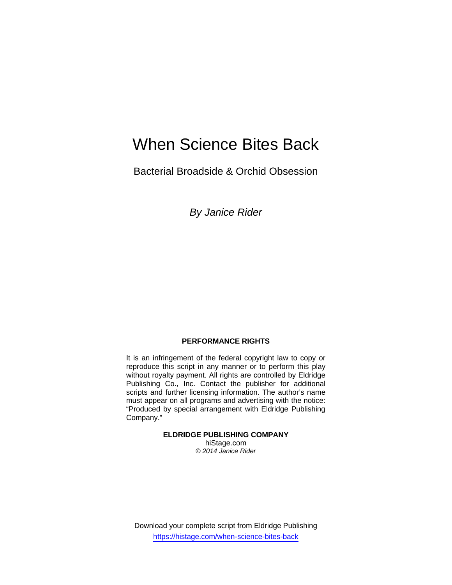# When Science Bites Back

Bacterial Broadside & Orchid Obsession

*By Janice Rider* 

## **PERFORMANCE RIGHTS**

It is an infringement of the federal copyright law to copy or reproduce this script in any manner or to perform this play without royalty payment. All rights are controlled by Eldridge Publishing Co., Inc. Contact the publisher for additional scripts and further licensing information. The author's name must appear on all programs and advertising with the notice: "Produced by special arrangement with Eldridge Publishing Company."

**ELDRIDGE PUBLISHING COMPANY** 

hiStage.com *© 2014 Janice Rider*

Download your complete script from Eldridge Publishing https://histage.com/when-science-bites-back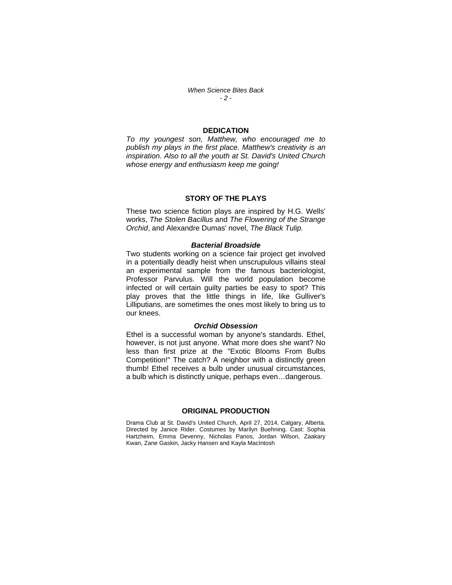*When Science Bites Back - 2 -* 

### **DEDICATION**

*To my youngest son, Matthew, who encouraged me to publish my plays in the first place. Matthew's creativity is an inspiration. Also to all the youth at St. David's United Church whose energy and enthusiasm keep me going!* 

#### **STORY OF THE PLAYS**

These two science fiction plays are inspired by H.G. Wells' works, *The Stolen Bacillus* and *The Flowering of the Strange Orchid*, and Alexandre Dumas' novel, *The Black Tulip.* 

#### *Bacterial Broadside*

Two students working on a science fair project get involved in a potentially deadly heist when unscrupulous villains steal an experimental sample from the famous bacteriologist, Professor Parvulus. Will the world population become infected or will certain guilty parties be easy to spot? This play proves that the little things in life, like Gulliver's Lilliputians, are sometimes the ones most likely to bring us to our knees.

#### *Orchid Obsession*

Ethel is a successful woman by anyone's standards. Ethel, however, is not just anyone. What more does she want? No less than first prize at the "Exotic Blooms From Bulbs Competition!" The catch? A neighbor with a distinctly green thumb! Ethel receives a bulb under unusual circumstances, a bulb which is distinctly unique, perhaps even…dangerous.

## **ORIGINAL PRODUCTION**

Drama Club at St. David's United Church, April 27, 2014, Calgary, Alberta. Directed by Janice Rider. Costumes by Marilyn Buehning. Cast: Sophia Hartzheim, Emma Devenny, Nicholas Panos, Jordan Wilson, Zaakary Kwan, Zane Gaskin, Jacky Hansen and Kayla MacIntosh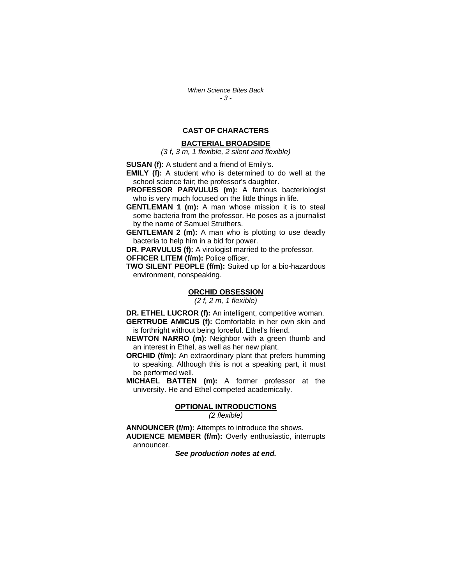*When Science Bites Back - 3 -* 

## **CAST OF CHARACTERS**

#### **BACTERIAL BROADSIDE**

*(3 f, 3 m, 1 flexible, 2 silent and flexible)* 

**SUSAN (f):** A student and a friend of Emily's.

**EMILY (f):** A student who is determined to do well at the school science fair; the professor's daughter.

**PROFESSOR PARVULUS (m):** A famous bacteriologist who is very much focused on the little things in life.

**GENTLEMAN 1 (m):** A man whose mission it is to steal some bacteria from the professor. He poses as a journalist by the name of Samuel Struthers.

**GENTLEMAN 2 (m):** A man who is plotting to use deadly bacteria to help him in a bid for power.

**DR. PARVULUS (f):** A virologist married to the professor. **OFFICER LITEM (f/m):** Police officer.

**TWO SILENT PEOPLE (f/m):** Suited up for a bio-hazardous

environment, nonspeaking.

#### **ORCHID OBSESSION**

*(2 f, 2 m, 1 flexible)* 

**DR. ETHEL LUCROR (f):** An intelligent, competitive woman. **GERTRUDE AMICUS (f):** Comfortable in her own skin and is forthright without being forceful. Ethel's friend.

**NEWTON NARRO (m):** Neighbor with a green thumb and an interest in Ethel, as well as her new plant.

**ORCHID (f/m):** An extraordinary plant that prefers humming to speaking. Although this is not a speaking part, it must be performed well.

**MICHAEL BATTEN (m):** A former professor at the university. He and Ethel competed academically.

#### **OPTIONAL INTRODUCTIONS**

*(2 flexible)* 

**ANNOUNCER (f/m):** Attempts to introduce the shows. **AUDIENCE MEMBER (f/m):** Overly enthusiastic, interrupts announcer.

*See production notes at end.*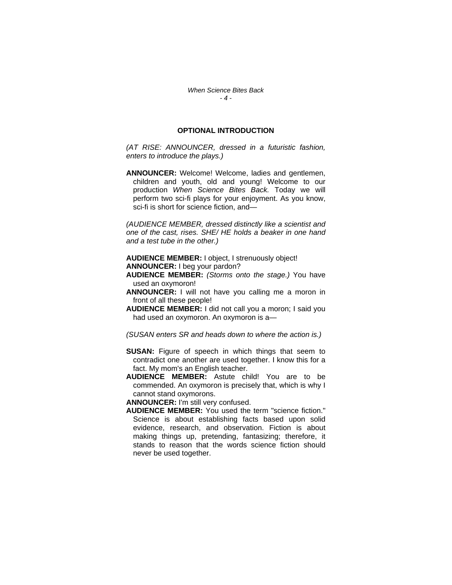## **OPTIONAL INTRODUCTION**

*(AT RISE: ANNOUNCER, dressed in a futuristic fashion, enters to introduce the plays.)* 

**ANNOUNCER:** Welcome! Welcome, ladies and gentlemen, children and youth, old and young! Welcome to our production *When Science Bites Back.* Today we will perform two sci-fi plays for your enjoyment. As you know, sci-fi is short for science fiction, and—

*(AUDIENCE MEMBER, dressed distinctly like a scientist and one of the cast, rises. SHE/ HE holds a beaker in one hand and a test tube in the other.)* 

**AUDIENCE MEMBER:** I object, I strenuously object! **ANNOUNCER:** I beg your pardon?

- **AUDIENCE MEMBER:** *(Storms onto the stage.)* You have used an oxymoron!
- **ANNOUNCER:** I will not have you calling me a moron in front of all these people!
- **AUDIENCE MEMBER:** I did not call you a moron; I said you had used an oxymoron. An oxymoron is a—

*(SUSAN enters SR and heads down to where the action is.)* 

- **SUSAN:** Figure of speech in which things that seem to contradict one another are used together. I know this for a fact. My mom's an English teacher.
- **AUDIENCE MEMBER:** Astute child! You are to be commended. An oxymoron is precisely that, which is why I cannot stand oxymorons.

**ANNOUNCER:** I'm still very confused.

**AUDIENCE MEMBER:** You used the term "science fiction." Science is about establishing facts based upon solid evidence, research, and observation. Fiction is about making things up, pretending, fantasizing; therefore, it stands to reason that the words science fiction should never be used together.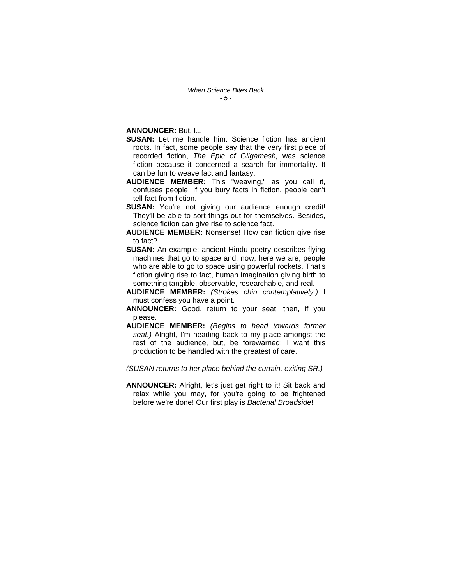**ANNOUNCER:** But, I...

- **SUSAN:** Let me handle him. Science fiction has ancient roots. In fact, some people say that the very first piece of recorded fiction, *The Epic of Gilgamesh,* was science fiction because it concerned a search for immortality. It can be fun to weave fact and fantasy.
- **AUDIENCE MEMBER:** This "weaving," as you call it, confuses people. If you bury facts in fiction, people can't tell fact from fiction.
- **SUSAN:** You're not giving our audience enough credit! They'll be able to sort things out for themselves. Besides, science fiction can give rise to science fact.
- **AUDIENCE MEMBER:** Nonsense! How can fiction give rise to fact?
- **SUSAN:** An example: ancient Hindu poetry describes flying machines that go to space and, now, here we are, people who are able to go to space using powerful rockets. That's fiction giving rise to fact, human imagination giving birth to something tangible, observable, researchable, and real.
- **AUDIENCE MEMBER:** *(Strokes chin contemplatively.)* I must confess you have a point.
- **ANNOUNCER:** Good, return to your seat, then, if you please.
- **AUDIENCE MEMBER:** *(Begins to head towards former seat.)* Alright, I'm heading back to my place amongst the rest of the audience, but, be forewarned: I want this production to be handled with the greatest of care.

*(SUSAN returns to her place behind the curtain, exiting SR.)* 

**ANNOUNCER:** Alright, let's just get right to it! Sit back and relax while you may, for you're going to be frightened before we're done! Our first play is *Bacterial Broadside*!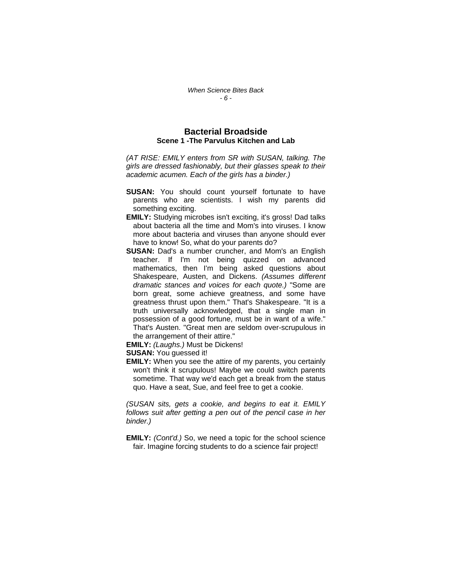## **Bacterial Broadside Scene 1 -The Parvulus Kitchen and Lab**

*(AT RISE: EMILY enters from SR with SUSAN, talking. The girls are dressed fashionably, but their glasses speak to their academic acumen. Each of the girls has a binder.)* 

- **SUSAN:** You should count yourself fortunate to have parents who are scientists. I wish my parents did something exciting.
- **EMILY:** Studying microbes isn't exciting, it's gross! Dad talks about bacteria all the time and Mom's into viruses. I know more about bacteria and viruses than anyone should ever have to know! So, what do your parents do?
- **SUSAN:** Dad's a number cruncher, and Mom's an English teacher. If I'm not being quizzed on advanced mathematics, then I'm being asked questions about Shakespeare, Austen, and Dickens. *(Assumes different dramatic stances and voices for each quote.)* "Some are born great, some achieve greatness, and some have greatness thrust upon them." That's Shakespeare. "It is a truth universally acknowledged, that a single man in possession of a good fortune, must be in want of a wife." That's Austen. "Great men are seldom over-scrupulous in the arrangement of their attire."

**EMILY:** *(Laughs.)* Must be Dickens!

**SUSAN:** You guessed it!

**EMILY:** When you see the attire of my parents, you certainly won't think it scrupulous! Maybe we could switch parents sometime. That way we'd each get a break from the status quo. Have a seat, Sue, and feel free to get a cookie.

*(SUSAN sits, gets a cookie, and begins to eat it. EMILY follows suit after getting a pen out of the pencil case in her binder.)* 

**EMILY:** *(Cont'd.)* So, we need a topic for the school science fair. Imagine forcing students to do a science fair project!